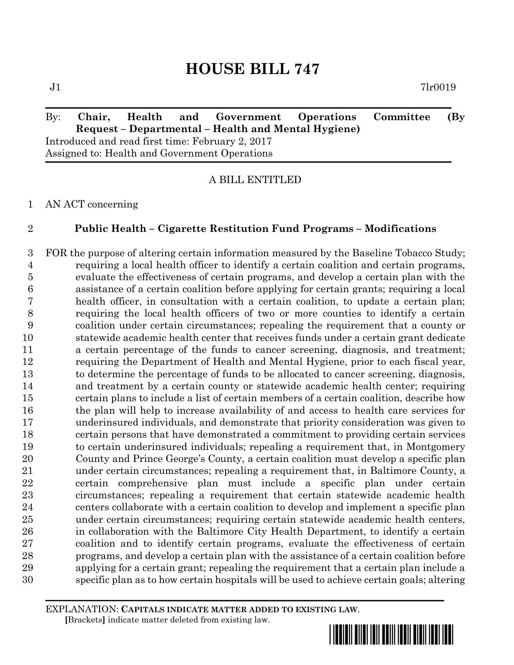$J1$   $7lr0019$ 

# By: **Chair, Health and Government Operations Committee (By Request – Departmental – Health and Mental Hygiene)** Introduced and read first time: February 2, 2017 Assigned to: Health and Government Operations

A BILL ENTITLED

AN ACT concerning

## **Public Health – Cigarette Restitution Fund Programs – Modifications**

 FOR the purpose of altering certain information measured by the Baseline Tobacco Study; requiring a local health officer to identify a certain coalition and certain programs, evaluate the effectiveness of certain programs, and develop a certain plan with the assistance of a certain coalition before applying for certain grants; requiring a local health officer, in consultation with a certain coalition, to update a certain plan; requiring the local health officers of two or more counties to identify a certain coalition under certain circumstances; repealing the requirement that a county or statewide academic health center that receives funds under a certain grant dedicate a certain percentage of the funds to cancer screening, diagnosis, and treatment; requiring the Department of Health and Mental Hygiene, prior to each fiscal year, to determine the percentage of funds to be allocated to cancer screening, diagnosis, and treatment by a certain county or statewide academic health center; requiring certain plans to include a list of certain members of a certain coalition, describe how the plan will help to increase availability of and access to health care services for underinsured individuals, and demonstrate that priority consideration was given to certain persons that have demonstrated a commitment to providing certain services to certain underinsured individuals; repealing a requirement that, in Montgomery County and Prince George's County, a certain coalition must develop a specific plan under certain circumstances; repealing a requirement that, in Baltimore County, a certain comprehensive plan must include a specific plan under certain circumstances; repealing a requirement that certain statewide academic health centers collaborate with a certain coalition to develop and implement a specific plan under certain circumstances; requiring certain statewide academic health centers, in collaboration with the Baltimore City Health Department, to identify a certain coalition and to identify certain programs, evaluate the effectiveness of certain programs, and develop a certain plan with the assistance of a certain coalition before applying for a certain grant; repealing the requirement that a certain plan include a specific plan as to how certain hospitals will be used to achieve certain goals; altering

EXPLANATION: **CAPITALS INDICATE MATTER ADDED TO EXISTING LAW**.  **[**Brackets**]** indicate matter deleted from existing law.

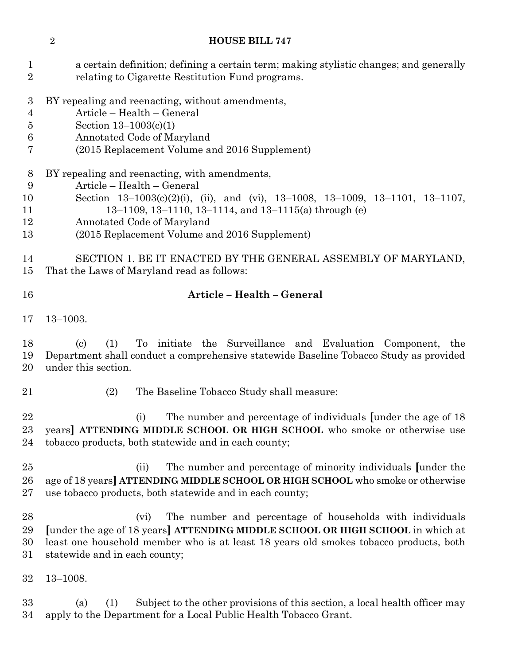a certain definition; defining a certain term; making stylistic changes; and generally relating to Cigarette Restitution Fund programs. BY repealing and reenacting, without amendments, Article – Health – General Section 13–1003(c)(1) Annotated Code of Maryland (2015 Replacement Volume and 2016 Supplement) BY repealing and reenacting, with amendments, Article – Health – General Section 13–1003(c)(2)(i), (ii), and (vi), 13–1008, 13–1009, 13–1101, 13–1107, 13–1109, 13–1110, 13–1114, and 13–1115(a) through (e) Annotated Code of Maryland (2015 Replacement Volume and 2016 Supplement) SECTION 1. BE IT ENACTED BY THE GENERAL ASSEMBLY OF MARYLAND, That the Laws of Maryland read as follows: **Article – Health – General** 13–1003. (c) (1) To initiate the Surveillance and Evaluation Component, the Department shall conduct a comprehensive statewide Baseline Tobacco Study as provided under this section. (2) The Baseline Tobacco Study shall measure: (i) The number and percentage of individuals **[**under the age of 18 years**] ATTENDING MIDDLE SCHOOL OR HIGH SCHOOL** who smoke or otherwise use tobacco products, both statewide and in each county; (ii) The number and percentage of minority individuals **[**under the age of 18 years**] ATTENDING MIDDLE SCHOOL OR HIGH SCHOOL** who smoke or otherwise use tobacco products, both statewide and in each county; (vi) The number and percentage of households with individuals **[**under the age of 18 years**] ATTENDING MIDDLE SCHOOL OR HIGH SCHOOL** in which at least one household member who is at least 18 years old smokes tobacco products, both statewide and in each county; 13–1008. (a) (1) Subject to the other provisions of this section, a local health officer may apply to the Department for a Local Public Health Tobacco Grant.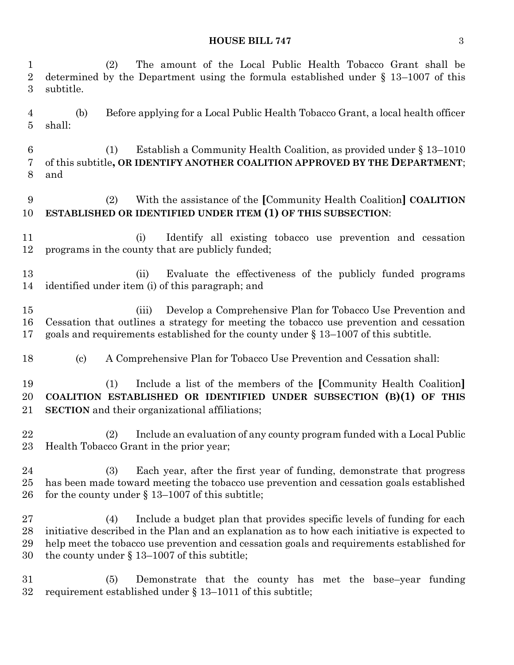(2) The amount of the Local Public Health Tobacco Grant shall be determined by the Department using the formula established under § 13–1007 of this subtitle. (b) Before applying for a Local Public Health Tobacco Grant, a local health officer shall: (1) Establish a Community Health Coalition, as provided under § 13–1010 of this subtitle**, OR IDENTIFY ANOTHER COALITION APPROVED BY THE DEPARTMENT**; and (2) With the assistance of the **[**Community Health Coalition**] COALITION ESTABLISHED OR IDENTIFIED UNDER ITEM (1) OF THIS SUBSECTION**: (i) Identify all existing tobacco use prevention and cessation programs in the county that are publicly funded; (ii) Evaluate the effectiveness of the publicly funded programs identified under item (i) of this paragraph; and (iii) Develop a Comprehensive Plan for Tobacco Use Prevention and Cessation that outlines a strategy for meeting the tobacco use prevention and cessation goals and requirements established for the county under § 13–1007 of this subtitle. (c) A Comprehensive Plan for Tobacco Use Prevention and Cessation shall: (1) Include a list of the members of the **[**Community Health Coalition**] COALITION ESTABLISHED OR IDENTIFIED UNDER SUBSECTION (B)(1) OF THIS SECTION** and their organizational affiliations; (2) Include an evaluation of any county program funded with a Local Public Health Tobacco Grant in the prior year; (3) Each year, after the first year of funding, demonstrate that progress has been made toward meeting the tobacco use prevention and cessation goals established for the county under § 13–1007 of this subtitle; (4) Include a budget plan that provides specific levels of funding for each initiative described in the Plan and an explanation as to how each initiative is expected to help meet the tobacco use prevention and cessation goals and requirements established for the county under § 13–1007 of this subtitle; (5) Demonstrate that the county has met the base–year funding requirement established under § 13–1011 of this subtitle;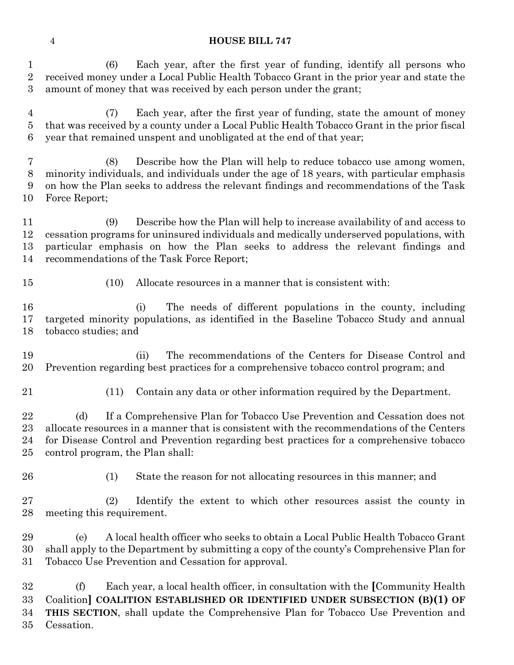(6) Each year, after the first year of funding, identify all persons who received money under a Local Public Health Tobacco Grant in the prior year and state the amount of money that was received by each person under the grant;

 (7) Each year, after the first year of funding, state the amount of money that was received by a county under a Local Public Health Tobacco Grant in the prior fiscal year that remained unspent and unobligated at the end of that year;

 (8) Describe how the Plan will help to reduce tobacco use among women, minority individuals, and individuals under the age of 18 years, with particular emphasis on how the Plan seeks to address the relevant findings and recommendations of the Task Force Report;

 (9) Describe how the Plan will help to increase availability of and access to cessation programs for uninsured individuals and medically underserved populations, with particular emphasis on how the Plan seeks to address the relevant findings and recommendations of the Task Force Report;

- 
- (10) Allocate resources in a manner that is consistent with:

 (i) The needs of different populations in the county, including targeted minority populations, as identified in the Baseline Tobacco Study and annual tobacco studies; and

 (ii) The recommendations of the Centers for Disease Control and Prevention regarding best practices for a comprehensive tobacco control program; and

(11) Contain any data or other information required by the Department.

22 (d) If a Comprehensive Plan for Tobacco Use Prevention and Cessation does not allocate resources in a manner that is consistent with the recommendations of the Centers for Disease Control and Prevention regarding best practices for a comprehensive tobacco control program, the Plan shall:

(1) State the reason for not allocating resources in this manner; and

 (2) Identify the extent to which other resources assist the county in meeting this requirement.

 (e) A local health officer who seeks to obtain a Local Public Health Tobacco Grant shall apply to the Department by submitting a copy of the county's Comprehensive Plan for Tobacco Use Prevention and Cessation for approval.

 (f) Each year, a local health officer, in consultation with the **[**Community Health Coalition**] COALITION ESTABLISHED OR IDENTIFIED UNDER SUBSECTION (B)(1) OF THIS SECTION**, shall update the Comprehensive Plan for Tobacco Use Prevention and Cessation.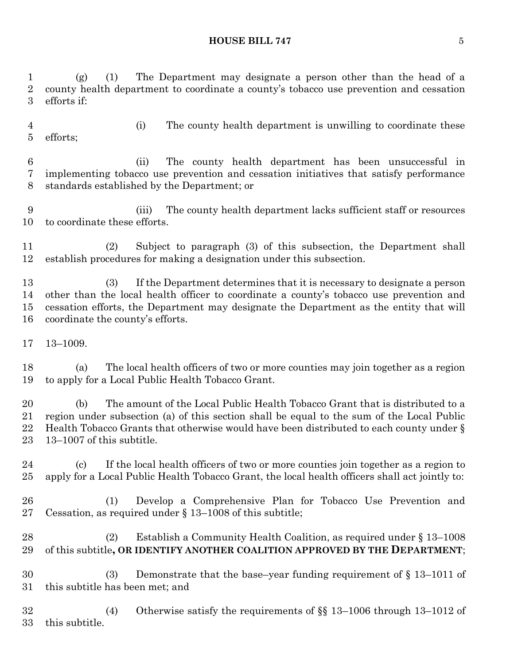(g) (1) The Department may designate a person other than the head of a county health department to coordinate a county's tobacco use prevention and cessation efforts if: (i) The county health department is unwilling to coordinate these efforts; (ii) The county health department has been unsuccessful in implementing tobacco use prevention and cessation initiatives that satisfy performance standards established by the Department; or (iii) The county health department lacks sufficient staff or resources to coordinate these efforts. (2) Subject to paragraph (3) of this subsection, the Department shall establish procedures for making a designation under this subsection. (3) If the Department determines that it is necessary to designate a person other than the local health officer to coordinate a county's tobacco use prevention and cessation efforts, the Department may designate the Department as the entity that will coordinate the county's efforts. 13–1009. (a) The local health officers of two or more counties may join together as a region to apply for a Local Public Health Tobacco Grant.

 (b) The amount of the Local Public Health Tobacco Grant that is distributed to a region under subsection (a) of this section shall be equal to the sum of the Local Public Health Tobacco Grants that otherwise would have been distributed to each county under § 13–1007 of this subtitle.

 (c) If the local health officers of two or more counties join together as a region to apply for a Local Public Health Tobacco Grant, the local health officers shall act jointly to:

 (1) Develop a Comprehensive Plan for Tobacco Use Prevention and Cessation, as required under § 13–1008 of this subtitle;

 (2) Establish a Community Health Coalition, as required under § 13–1008 29 of this subtitle, OR IDENTIFY ANOTHER COALITION APPROVED BY THE **DEPARTMENT**;

 (3) Demonstrate that the base–year funding requirement of § 13–1011 of this subtitle has been met; and

 (4) Otherwise satisfy the requirements of §§ 13–1006 through 13–1012 of this subtitle.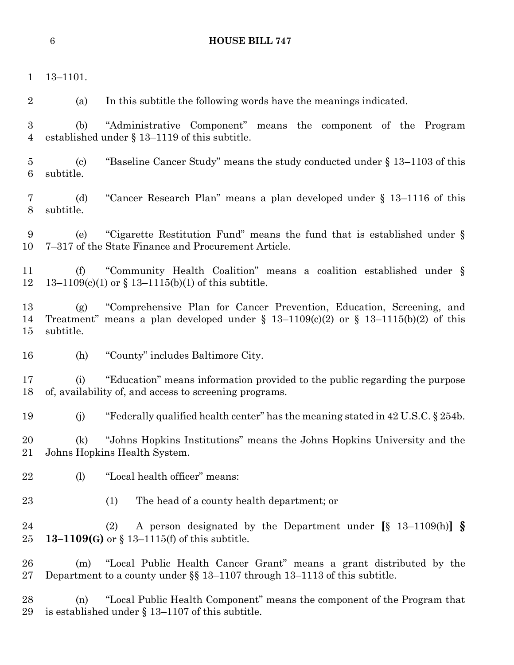13–1101.

(a) In this subtitle the following words have the meanings indicated.

 (b) "Administrative Component" means the component of the Program established under § 13–1119 of this subtitle.

 (c) "Baseline Cancer Study" means the study conducted under § 13–1103 of this subtitle.

 (d) "Cancer Research Plan" means a plan developed under § 13–1116 of this subtitle.

 (e) "Cigarette Restitution Fund" means the fund that is established under § 7–317 of the State Finance and Procurement Article.

 (f) "Community Health Coalition" means a coalition established under § 13–1109(c)(1) or § 13–1115(b)(1) of this subtitle.

 (g) "Comprehensive Plan for Cancer Prevention, Education, Screening, and Treatment" means a plan developed under § 13–1109(c)(2) or § 13–1115(b)(2) of this subtitle.

(h) "County" includes Baltimore City.

 (i) "Education" means information provided to the public regarding the purpose of, availability of, and access to screening programs.

(j) "Federally qualified health center" has the meaning stated in 42 U.S.C. § 254b.

 (k) "Johns Hopkins Institutions" means the Johns Hopkins University and the Johns Hopkins Health System.

- 22 (l) "Local health officer" means:
- (1) The head of a county health department; or

 (2) A person designated by the Department under **[**§ 13–1109(h)**] § 13–1109(G)** or § 13–1115(f) of this subtitle.

 (m) "Local Public Health Cancer Grant" means a grant distributed by the Department to a county under §§ 13–1107 through 13–1113 of this subtitle.

 (n) "Local Public Health Component" means the component of the Program that is established under § 13–1107 of this subtitle.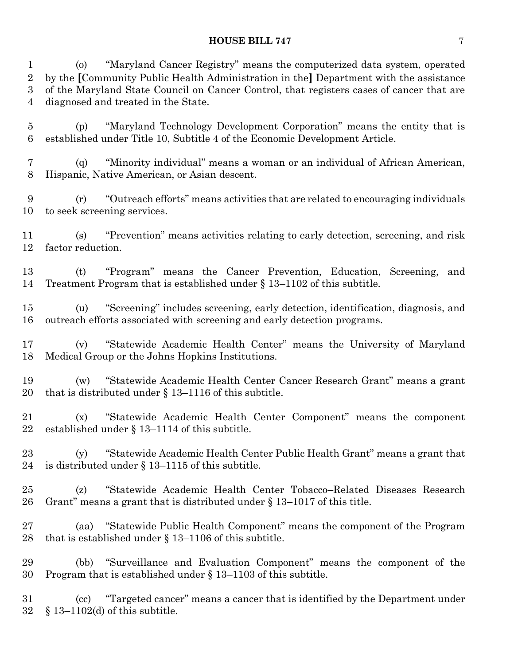(o) "Maryland Cancer Registry" means the computerized data system, operated by the **[**Community Public Health Administration in the**]** Department with the assistance of the Maryland State Council on Cancer Control, that registers cases of cancer that are diagnosed and treated in the State.

 (p) "Maryland Technology Development Corporation" means the entity that is established under Title 10, Subtitle 4 of the Economic Development Article.

 (q) "Minority individual" means a woman or an individual of African American, Hispanic, Native American, or Asian descent.

 (r) "Outreach efforts" means activities that are related to encouraging individuals to seek screening services.

 (s) "Prevention" means activities relating to early detection, screening, and risk factor reduction.

 (t) "Program" means the Cancer Prevention, Education, Screening, and Treatment Program that is established under § 13–1102 of this subtitle.

 (u) "Screening" includes screening, early detection, identification, diagnosis, and outreach efforts associated with screening and early detection programs.

 (v) "Statewide Academic Health Center" means the University of Maryland Medical Group or the Johns Hopkins Institutions.

 (w) "Statewide Academic Health Center Cancer Research Grant" means a grant that is distributed under § 13–1116 of this subtitle.

 (x) "Statewide Academic Health Center Component" means the component established under § 13–1114 of this subtitle.

 (y) "Statewide Academic Health Center Public Health Grant" means a grant that is distributed under § 13–1115 of this subtitle.

 (z) "Statewide Academic Health Center Tobacco–Related Diseases Research Grant" means a grant that is distributed under § 13–1017 of this title.

 (aa) "Statewide Public Health Component" means the component of the Program that is established under § 13–1106 of this subtitle.

 (bb) "Surveillance and Evaluation Component" means the component of the Program that is established under § 13–1103 of this subtitle.

 (cc) "Targeted cancer" means a cancer that is identified by the Department under § 13–1102(d) of this subtitle.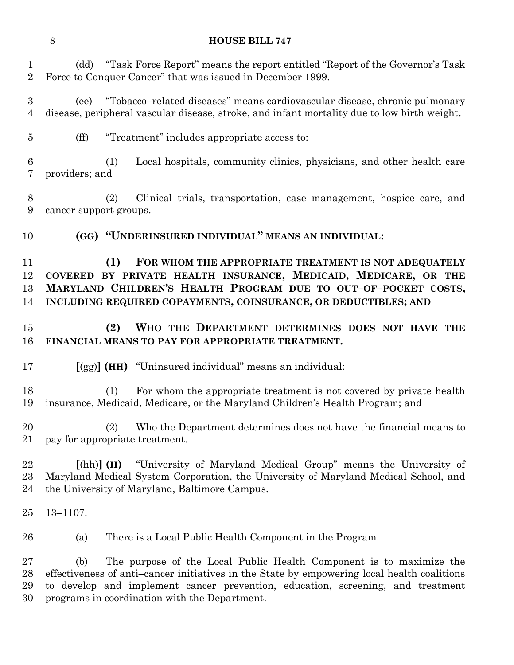(dd) "Task Force Report" means the report entitled "Report of the Governor's Task Force to Conquer Cancer" that was issued in December 1999.

 (ee) "Tobacco–related diseases" means cardiovascular disease, chronic pulmonary disease, peripheral vascular disease, stroke, and infant mortality due to low birth weight.

(ff) "Treatment" includes appropriate access to:

 (1) Local hospitals, community clinics, physicians, and other health care providers; and

 (2) Clinical trials, transportation, case management, hospice care, and cancer support groups.

**(GG) "UNDERINSURED INDIVIDUAL" MEANS AN INDIVIDUAL:**

 **(1) FOR WHOM THE APPROPRIATE TREATMENT IS NOT ADEQUATELY COVERED BY PRIVATE HEALTH INSURANCE, MEDICAID, MEDICARE, OR THE MARYLAND CHILDREN'S HEALTH PROGRAM DUE TO OUT–OF–POCKET COSTS, INCLUDING REQUIRED COPAYMENTS, COINSURANCE, OR DEDUCTIBLES; AND**

# **(2) WHO THE DEPARTMENT DETERMINES DOES NOT HAVE THE FINANCIAL MEANS TO PAY FOR APPROPRIATE TREATMENT.**

**[**(gg)**] (HH)** "Uninsured individual" means an individual:

 (1) For whom the appropriate treatment is not covered by private health insurance, Medicaid, Medicare, or the Maryland Children's Health Program; and

 (2) Who the Department determines does not have the financial means to pay for appropriate treatment.

 **[**(hh)**] (II)** "University of Maryland Medical Group" means the University of Maryland Medical System Corporation, the University of Maryland Medical School, and the University of Maryland, Baltimore Campus.

13–1107.

(a) There is a Local Public Health Component in the Program.

 (b) The purpose of the Local Public Health Component is to maximize the effectiveness of anti–cancer initiatives in the State by empowering local health coalitions to develop and implement cancer prevention, education, screening, and treatment programs in coordination with the Department.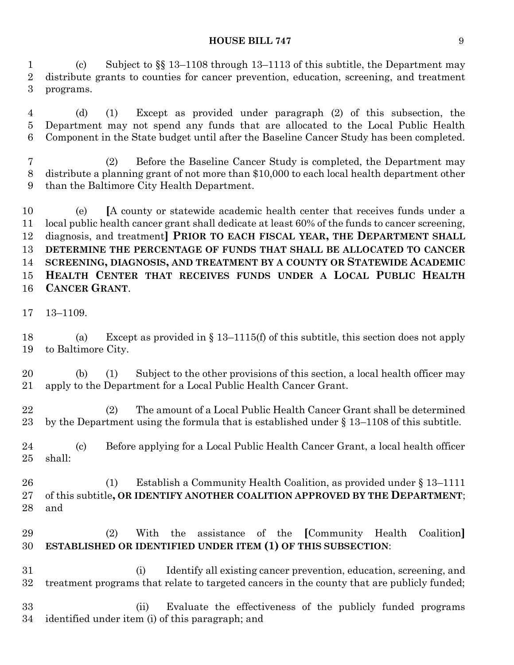(c) Subject to §§ 13–1108 through 13–1113 of this subtitle, the Department may distribute grants to counties for cancer prevention, education, screening, and treatment programs.

 (d) (1) Except as provided under paragraph (2) of this subsection, the Department may not spend any funds that are allocated to the Local Public Health Component in the State budget until after the Baseline Cancer Study has been completed.

 (2) Before the Baseline Cancer Study is completed, the Department may distribute a planning grant of not more than \$10,000 to each local health department other than the Baltimore City Health Department.

 (e) **[**A county or statewide academic health center that receives funds under a local public health cancer grant shall dedicate at least 60% of the funds to cancer screening, diagnosis, and treatment**] PRIOR TO EACH FISCAL YEAR, THE DEPARTMENT SHALL DETERMINE THE PERCENTAGE OF FUNDS THAT SHALL BE ALLOCATED TO CANCER SCREENING, DIAGNOSIS, AND TREATMENT BY A COUNTY OR STATEWIDE ACADEMIC HEALTH CENTER THAT RECEIVES FUNDS UNDER A LOCAL PUBLIC HEALTH CANCER GRANT**.

13–1109.

18 (a) Except as provided in  $\S$  13–1115(f) of this subtitle, this section does not apply to Baltimore City.

 (b) (1) Subject to the other provisions of this section, a local health officer may apply to the Department for a Local Public Health Cancer Grant.

 (2) The amount of a Local Public Health Cancer Grant shall be determined by the Department using the formula that is established under § 13–1108 of this subtitle.

 (c) Before applying for a Local Public Health Cancer Grant, a local health officer shall:

 (1) Establish a Community Health Coalition, as provided under § 13–1111 of this subtitle**, OR IDENTIFY ANOTHER COALITION APPROVED BY THE DEPARTMENT**; and

# (2) With the assistance of the **[**Community Health Coalition**] ESTABLISHED OR IDENTIFIED UNDER ITEM (1) OF THIS SUBSECTION**:

 (i) Identify all existing cancer prevention, education, screening, and treatment programs that relate to targeted cancers in the county that are publicly funded;

 (ii) Evaluate the effectiveness of the publicly funded programs identified under item (i) of this paragraph; and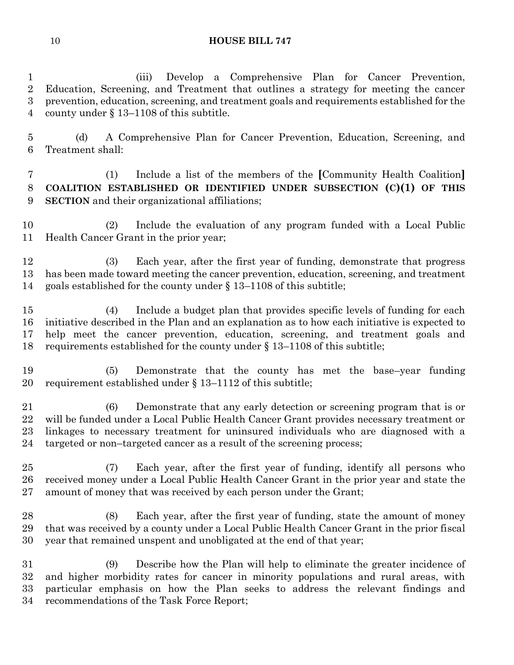(iii) Develop a Comprehensive Plan for Cancer Prevention, Education, Screening, and Treatment that outlines a strategy for meeting the cancer prevention, education, screening, and treatment goals and requirements established for the county under § 13–1108 of this subtitle.

 (d) A Comprehensive Plan for Cancer Prevention, Education, Screening, and Treatment shall:

 (1) Include a list of the members of the **[**Community Health Coalition**] COALITION ESTABLISHED OR IDENTIFIED UNDER SUBSECTION (C)(1) OF THIS SECTION** and their organizational affiliations;

 (2) Include the evaluation of any program funded with a Local Public Health Cancer Grant in the prior year;

 (3) Each year, after the first year of funding, demonstrate that progress has been made toward meeting the cancer prevention, education, screening, and treatment goals established for the county under § 13–1108 of this subtitle;

 (4) Include a budget plan that provides specific levels of funding for each initiative described in the Plan and an explanation as to how each initiative is expected to help meet the cancer prevention, education, screening, and treatment goals and requirements established for the county under § 13–1108 of this subtitle;

 (5) Demonstrate that the county has met the base–year funding requirement established under § 13–1112 of this subtitle;

 (6) Demonstrate that any early detection or screening program that is or will be funded under a Local Public Health Cancer Grant provides necessary treatment or linkages to necessary treatment for uninsured individuals who are diagnosed with a targeted or non–targeted cancer as a result of the screening process;

 (7) Each year, after the first year of funding, identify all persons who received money under a Local Public Health Cancer Grant in the prior year and state the 27 amount of money that was received by each person under the Grant;

 (8) Each year, after the first year of funding, state the amount of money that was received by a county under a Local Public Health Cancer Grant in the prior fiscal year that remained unspent and unobligated at the end of that year;

 (9) Describe how the Plan will help to eliminate the greater incidence of and higher morbidity rates for cancer in minority populations and rural areas, with particular emphasis on how the Plan seeks to address the relevant findings and recommendations of the Task Force Report;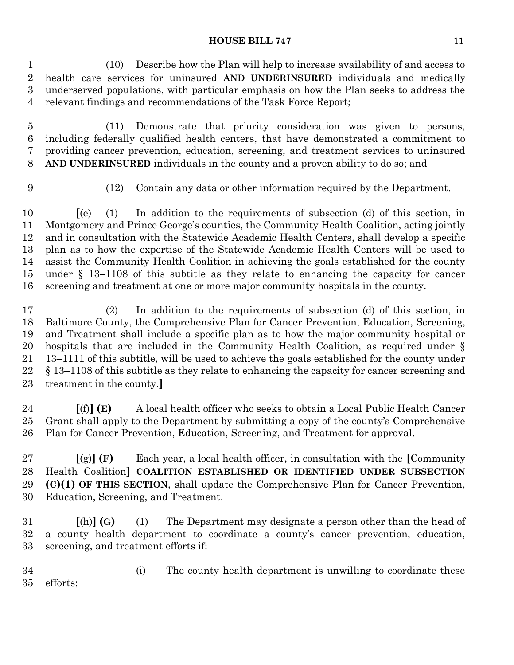(10) Describe how the Plan will help to increase availability of and access to health care services for uninsured **AND UNDERINSURED** individuals and medically underserved populations, with particular emphasis on how the Plan seeks to address the relevant findings and recommendations of the Task Force Report;

 (11) Demonstrate that priority consideration was given to persons, including federally qualified health centers, that have demonstrated a commitment to providing cancer prevention, education, screening, and treatment services to uninsured **AND UNDERINSURED** individuals in the county and a proven ability to do so; and

(12) Contain any data or other information required by the Department.

 **[**(e) (1) In addition to the requirements of subsection (d) of this section, in Montgomery and Prince George's counties, the Community Health Coalition, acting jointly and in consultation with the Statewide Academic Health Centers, shall develop a specific plan as to how the expertise of the Statewide Academic Health Centers will be used to assist the Community Health Coalition in achieving the goals established for the county under § 13–1108 of this subtitle as they relate to enhancing the capacity for cancer screening and treatment at one or more major community hospitals in the county.

 (2) In addition to the requirements of subsection (d) of this section, in Baltimore County, the Comprehensive Plan for Cancer Prevention, Education, Screening, and Treatment shall include a specific plan as to how the major community hospital or hospitals that are included in the Community Health Coalition, as required under § 13–1111 of this subtitle, will be used to achieve the goals established for the county under § 13–1108 of this subtitle as they relate to enhancing the capacity for cancer screening and treatment in the county.**]**

 **[**(f)**] (E)** A local health officer who seeks to obtain a Local Public Health Cancer Grant shall apply to the Department by submitting a copy of the county's Comprehensive Plan for Cancer Prevention, Education, Screening, and Treatment for approval.

 **[**(g)**] (F)** Each year, a local health officer, in consultation with the **[**Community Health Coalition**] COALITION ESTABLISHED OR IDENTIFIED UNDER SUBSECTION (C)(1) OF THIS SECTION**, shall update the Comprehensive Plan for Cancer Prevention, Education, Screening, and Treatment.

 **[**(h)**] (G)** (1) The Department may designate a person other than the head of a county health department to coordinate a county's cancer prevention, education, screening, and treatment efforts if:

 (i) The county health department is unwilling to coordinate these efforts;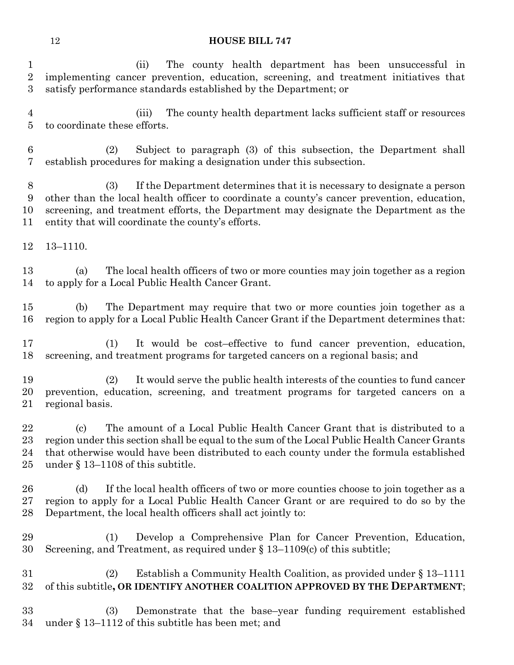(ii) The county health department has been unsuccessful in implementing cancer prevention, education, screening, and treatment initiatives that satisfy performance standards established by the Department; or

 (iii) The county health department lacks sufficient staff or resources to coordinate these efforts.

 (2) Subject to paragraph (3) of this subsection, the Department shall establish procedures for making a designation under this subsection.

 (3) If the Department determines that it is necessary to designate a person other than the local health officer to coordinate a county's cancer prevention, education, screening, and treatment efforts, the Department may designate the Department as the entity that will coordinate the county's efforts.

13–1110.

 (a) The local health officers of two or more counties may join together as a region to apply for a Local Public Health Cancer Grant.

 (b) The Department may require that two or more counties join together as a region to apply for a Local Public Health Cancer Grant if the Department determines that:

 (1) It would be cost–effective to fund cancer prevention, education, screening, and treatment programs for targeted cancers on a regional basis; and

 (2) It would serve the public health interests of the counties to fund cancer prevention, education, screening, and treatment programs for targeted cancers on a regional basis.

 (c) The amount of a Local Public Health Cancer Grant that is distributed to a region under this section shall be equal to the sum of the Local Public Health Cancer Grants that otherwise would have been distributed to each county under the formula established under § 13–1108 of this subtitle.

26 (d) If the local health officers of two or more counties choose to join together as a region to apply for a Local Public Health Cancer Grant or are required to do so by the Department, the local health officers shall act jointly to:

 (1) Develop a Comprehensive Plan for Cancer Prevention, Education, Screening, and Treatment, as required under § 13–1109(c) of this subtitle;

 (2) Establish a Community Health Coalition, as provided under § 13–1111 of this subtitle**, OR IDENTIFY ANOTHER COALITION APPROVED BY THE DEPARTMENT**;

 (3) Demonstrate that the base–year funding requirement established under § 13–1112 of this subtitle has been met; and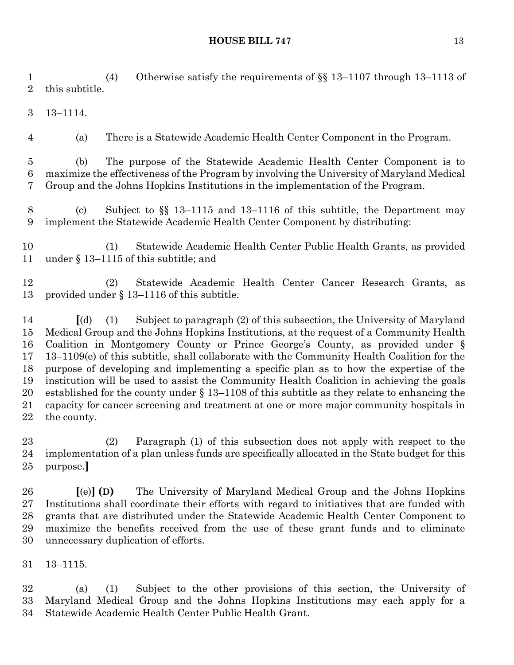(4) Otherwise satisfy the requirements of §§ 13–1107 through 13–1113 of this subtitle.

13–1114.

(a) There is a Statewide Academic Health Center Component in the Program.

 (b) The purpose of the Statewide Academic Health Center Component is to maximize the effectiveness of the Program by involving the University of Maryland Medical Group and the Johns Hopkins Institutions in the implementation of the Program.

 (c) Subject to §§ 13–1115 and 13–1116 of this subtitle, the Department may implement the Statewide Academic Health Center Component by distributing:

 (1) Statewide Academic Health Center Public Health Grants, as provided under § 13–1115 of this subtitle; and

 (2) Statewide Academic Health Center Cancer Research Grants, as provided under § 13–1116 of this subtitle.

 **[**(d) (1) Subject to paragraph (2) of this subsection, the University of Maryland Medical Group and the Johns Hopkins Institutions, at the request of a Community Health Coalition in Montgomery County or Prince George's County, as provided under § 13–1109(e) of this subtitle, shall collaborate with the Community Health Coalition for the purpose of developing and implementing a specific plan as to how the expertise of the institution will be used to assist the Community Health Coalition in achieving the goals established for the county under § 13–1108 of this subtitle as they relate to enhancing the capacity for cancer screening and treatment at one or more major community hospitals in the county.

 (2) Paragraph (1) of this subsection does not apply with respect to the implementation of a plan unless funds are specifically allocated in the State budget for this purpose.**]**

 **[**(e)**] (D)** The University of Maryland Medical Group and the Johns Hopkins Institutions shall coordinate their efforts with regard to initiatives that are funded with grants that are distributed under the Statewide Academic Health Center Component to maximize the benefits received from the use of these grant funds and to eliminate unnecessary duplication of efforts.

13–1115.

 (a) (1) Subject to the other provisions of this section, the University of Maryland Medical Group and the Johns Hopkins Institutions may each apply for a Statewide Academic Health Center Public Health Grant.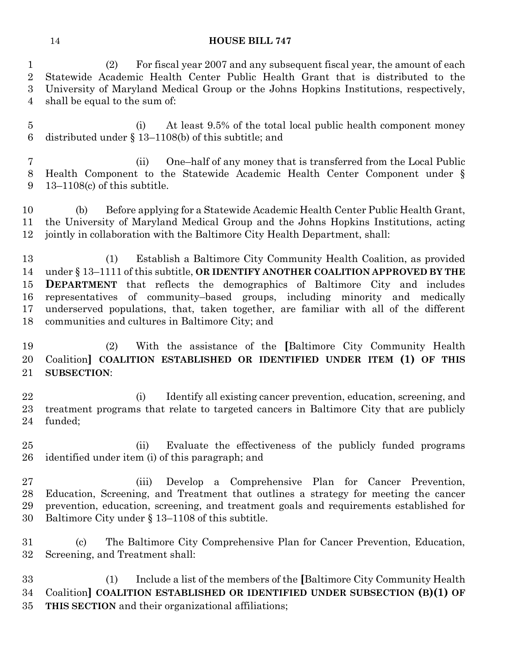(2) For fiscal year 2007 and any subsequent fiscal year, the amount of each Statewide Academic Health Center Public Health Grant that is distributed to the University of Maryland Medical Group or the Johns Hopkins Institutions, respectively, shall be equal to the sum of:

 (i) At least 9.5% of the total local public health component money distributed under § 13–1108(b) of this subtitle; and

 (ii) One–half of any money that is transferred from the Local Public Health Component to the Statewide Academic Health Center Component under § 13–1108(c) of this subtitle.

 (b) Before applying for a Statewide Academic Health Center Public Health Grant, the University of Maryland Medical Group and the Johns Hopkins Institutions, acting jointly in collaboration with the Baltimore City Health Department, shall:

 (1) Establish a Baltimore City Community Health Coalition, as provided under § 13–1111 of this subtitle, **OR IDENTIFY ANOTHER COALITION APPROVED BY THE DEPARTMENT** that reflects the demographics of Baltimore City and includes representatives of community–based groups, including minority and medically underserved populations, that, taken together, are familiar with all of the different communities and cultures in Baltimore City; and

 (2) With the assistance of the **[**Baltimore City Community Health Coalition**] COALITION ESTABLISHED OR IDENTIFIED UNDER ITEM (1) OF THIS SUBSECTION**:

 (i) Identify all existing cancer prevention, education, screening, and treatment programs that relate to targeted cancers in Baltimore City that are publicly funded;

 (ii) Evaluate the effectiveness of the publicly funded programs identified under item (i) of this paragraph; and

 (iii) Develop a Comprehensive Plan for Cancer Prevention, Education, Screening, and Treatment that outlines a strategy for meeting the cancer prevention, education, screening, and treatment goals and requirements established for Baltimore City under § 13–1108 of this subtitle.

 (c) The Baltimore City Comprehensive Plan for Cancer Prevention, Education, Screening, and Treatment shall:

 (1) Include a list of the members of the **[**Baltimore City Community Health Coalition**] COALITION ESTABLISHED OR IDENTIFIED UNDER SUBSECTION (B)(1) OF THIS SECTION** and their organizational affiliations;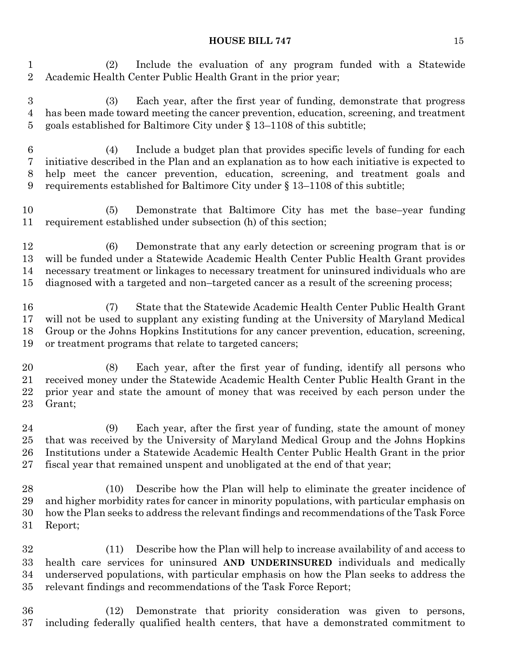(2) Include the evaluation of any program funded with a Statewide Academic Health Center Public Health Grant in the prior year;

 (3) Each year, after the first year of funding, demonstrate that progress has been made toward meeting the cancer prevention, education, screening, and treatment goals established for Baltimore City under § 13–1108 of this subtitle;

 (4) Include a budget plan that provides specific levels of funding for each initiative described in the Plan and an explanation as to how each initiative is expected to help meet the cancer prevention, education, screening, and treatment goals and requirements established for Baltimore City under § 13–1108 of this subtitle;

 (5) Demonstrate that Baltimore City has met the base–year funding requirement established under subsection (h) of this section;

 (6) Demonstrate that any early detection or screening program that is or will be funded under a Statewide Academic Health Center Public Health Grant provides necessary treatment or linkages to necessary treatment for uninsured individuals who are diagnosed with a targeted and non–targeted cancer as a result of the screening process;

 (7) State that the Statewide Academic Health Center Public Health Grant will not be used to supplant any existing funding at the University of Maryland Medical Group or the Johns Hopkins Institutions for any cancer prevention, education, screening, or treatment programs that relate to targeted cancers;

 (8) Each year, after the first year of funding, identify all persons who received money under the Statewide Academic Health Center Public Health Grant in the prior year and state the amount of money that was received by each person under the Grant;

 (9) Each year, after the first year of funding, state the amount of money that was received by the University of Maryland Medical Group and the Johns Hopkins Institutions under a Statewide Academic Health Center Public Health Grant in the prior fiscal year that remained unspent and unobligated at the end of that year;

 (10) Describe how the Plan will help to eliminate the greater incidence of and higher morbidity rates for cancer in minority populations, with particular emphasis on how the Plan seeks to address the relevant findings and recommendations of the Task Force Report;

 (11) Describe how the Plan will help to increase availability of and access to health care services for uninsured **AND UNDERINSURED** individuals and medically underserved populations, with particular emphasis on how the Plan seeks to address the relevant findings and recommendations of the Task Force Report;

 (12) Demonstrate that priority consideration was given to persons, including federally qualified health centers, that have a demonstrated commitment to